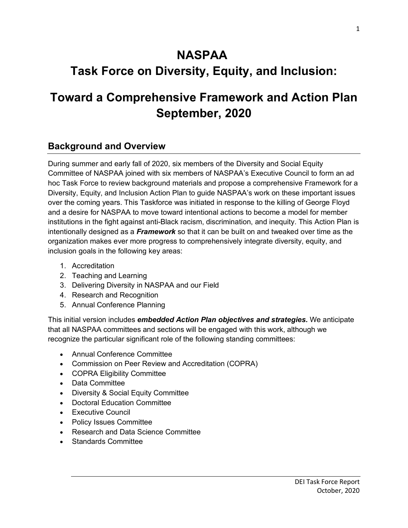# **NASPAA**

# **Task Force on Diversity, Equity, and Inclusion:**

# **Toward a Comprehensive Framework and Action Plan September, 2020**

# **Background and Overview**

During summer and early fall of 2020, six members of the Diversity and Social Equity Committee of NASPAA joined with six members of NASPAA's Executive Council to form an ad hoc Task Force to review background materials and propose a comprehensive Framework for a Diversity, Equity, and Inclusion Action Plan to guide NASPAA's work on these important issues over the coming years. This Taskforce was initiated in response to the killing of George Floyd and a desire for NASPAA to move toward intentional actions to become a model for member institutions in the fight against anti-Black racism, discrimination, and inequity. This Action Plan is intentionally designed as a *Framework* so that it can be built on and tweaked over time as the organization makes ever more progress to comprehensively integrate diversity, equity, and inclusion goals in the following key areas:

- 1. Accreditation
- 2. Teaching and Learning
- 3. Delivering Diversity in NASPAA and our Field
- 4. Research and Recognition
- 5. Annual Conference Planning

This initial version includes *embedded Action Plan objectives and strategies.* We anticipate that all NASPAA committees and sections will be engaged with this work, although we recognize the particular significant role of the following standing committees:

- Annual Conference Committee
- Commission on Peer Review and Accreditation (COPRA)
- COPRA Eligibility Committee
- Data Committee
- Diversity & Social Equity Committee
- Doctoral Education Committee
- Executive Council
- Policy Issues Committee
- Research and Data Science Committee
- Standards Committee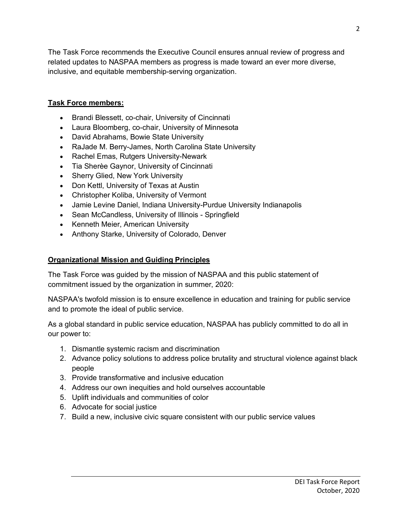The Task Force recommends the Executive Council ensures annual review of progress and related updates to NASPAA members as progress is made toward an ever more diverse, inclusive, and equitable membership-serving organization.

#### **Task Force members:**

- Brandi Blessett, co-chair, University of Cincinnati
- Laura Bloomberg, co-chair, University of Minnesota
- David Abrahams, Bowie State University
- RaJade M. Berry-James, North Carolina State University
- Rachel Emas, Rutgers University-Newark
- Tia Sherèe Gaynor, University of Cincinnati
- Sherry Glied, New York University
- Don Kettl, University of Texas at Austin
- Christopher Koliba, University of Vermont
- Jamie Levine Daniel, Indiana University-Purdue University Indianapolis
- Sean McCandless, University of Illinois Springfield
- Kenneth Meier, American University
- Anthony Starke, University of Colorado, Denver

#### **Organizational Mission and Guiding Principles**

The Task Force was guided by the mission of NASPAA and this public statement of commitment issued by the organization in summer, 2020:

NASPAA's twofold mission is to ensure excellence in education and training for public service and to promote the ideal of public service.

As a global standard in public service education, NASPAA has publicly committed to do all in our power to:

- 1. Dismantle systemic racism and discrimination
- 2. Advance policy solutions to address police brutality and structural violence against black people
- 3. Provide transformative and inclusive education
- 4. Address our own inequities and hold ourselves accountable
- 5. Uplift individuals and communities of color
- 6. Advocate for social justice
- 7. Build a new, inclusive civic square consistent with our public service values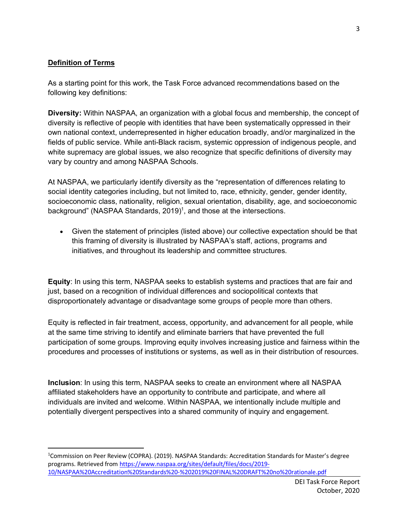#### **Definition of Terms**

As a starting point for this work, the Task Force advanced recommendations based on the following key definitions:

**Diversity:** Within NASPAA, an organization with a global focus and membership, the concept of diversity is reflective of people with identities that have been systematically oppressed in their own national context, underrepresented in higher education broadly, and/or marginalized in the fields of public service. While anti-Black racism, systemic oppression of indigenous people, and white supremacy are global issues, we also recognize that specific definitions of diversity may vary by country and among NASPAA Schools.

At NASPAA, we particularly identify diversity as the "representation of differences relating to social identity categories including, but not limited to, race, ethnicity, gender, gender identity, socioeconomic class, nationality, religion, sexual orientation, disability, age, and socioeconomic background" (NASPAA Standards, 2019)<sup>1</sup>, and those at the intersections.

• Given the statement of principles (listed above) our collective expectation should be that this framing of diversity is illustrated by NASPAA's staff, actions, programs and initiatives, and throughout its leadership and committee structures.

**Equity**: In using this term, NASPAA seeks to establish systems and practices that are fair and just, based on a recognition of individual differences and sociopolitical contexts that disproportionately advantage or disadvantage some groups of people more than others.

Equity is reflected in fair treatment, access, opportunity, and advancement for all people, while at the same time striving to identify and eliminate barriers that have prevented the full participation of some groups. Improving equity involves increasing justice and fairness within the procedures and processes of institutions or systems, as well as in their distribution of resources.

**Inclusion**: In using this term, NASPAA seeks to create an environment where all NASPAA affiliated stakeholders have an opportunity to contribute and participate, and where all individuals are invited and welcome. Within NASPAA, we intentionally include multiple and potentially divergent perspectives into a shared community of inquiry and engagement.

 $\overline{1}$ <sup>1</sup>Commission on Peer Review (COPRA). (2019). NASPAA Standards: Accreditation Standards for Master's degree programs. Retrieved from https://www.naspaa.org/sites/default/files/docs/2019- 10/NASPAA%20Accreditation%20Standards%20-%202019%20FINAL%20DRAFT%20no%20rationale.pdf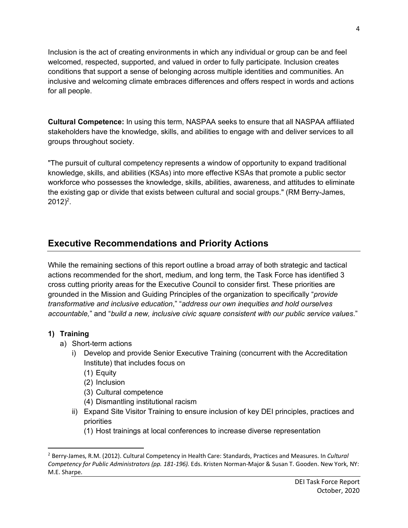Inclusion is the act of creating environments in which any individual or group can be and feel welcomed, respected, supported, and valued in order to fully participate. Inclusion creates conditions that support a sense of belonging across multiple identities and communities. An inclusive and welcoming climate embraces differences and offers respect in words and actions for all people.

**Cultural Competence:** In using this term, NASPAA seeks to ensure that all NASPAA affiliated stakeholders have the knowledge, skills, and abilities to engage with and deliver services to all groups throughout society.

"The pursuit of cultural competency represents a window of opportunity to expand traditional knowledge, skills, and abilities (KSAs) into more effective KSAs that promote a public sector workforce who possesses the knowledge, skills, abilities, awareness, and attitudes to eliminate the existing gap or divide that exists between cultural and social groups." (RM Berry-James,  $2012)^2$ .

# **Executive Recommendations and Priority Actions**

While the remaining sections of this report outline a broad array of both strategic and tactical actions recommended for the short, medium, and long term, the Task Force has identified 3 cross cutting priority areas for the Executive Council to consider first. These priorities are grounded in the Mission and Guiding Principles of the organization to specifically "*provide transformative and inclusive education*," "*address our own inequities and hold ourselves accountable,*" and "*build a new, inclusive civic square consistent with our public service values*."

### **1) Training**

- a) Short-term actions
	- i) Develop and provide Senior Executive Training (concurrent with the Accreditation Institute) that includes focus on
		- (1) Equity
		- (2) Inclusion
		- (3) Cultural competence
		- (4) Dismantling institutional racism
	- ii) Expand Site Visitor Training to ensure inclusion of key DEI principles, practices and priorities
		- (1) Host trainings at local conferences to increase diverse representation

 <sup>2</sup> Berry-James, R.M. (2012). Cultural Competency in Health Care: Standards, Practices and Measures. In *Cultural Competency for Public Administrators (pp. 181-196).* Eds. Kristen Norman-Major & Susan T. Gooden. New York, NY: M.E. Sharpe.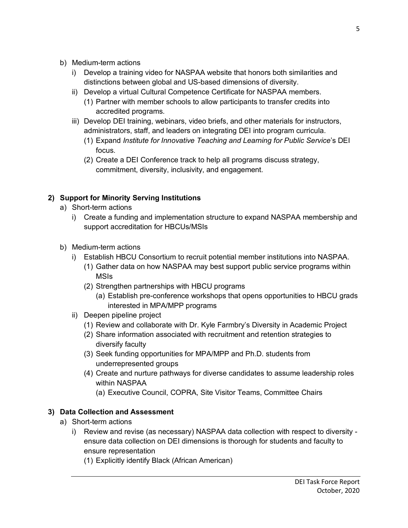- b) Medium-term actions
	- i) Develop a training video for NASPAA website that honors both similarities and distinctions between global and US-based dimensions of diversity.
	- ii) Develop a virtual Cultural Competence Certificate for NASPAA members.
		- (1) Partner with member schools to allow participants to transfer credits into accredited programs.
	- iii) Develop DEI training, webinars, video briefs, and other materials for instructors, administrators, staff, and leaders on integrating DEI into program curricula.
		- (1) Expand *Institute for Innovative Teaching and Learning for Public Service*'s DEI focus.
		- (2) Create a DEI Conference track to help all programs discuss strategy, commitment, diversity, inclusivity, and engagement.

## **2) Support for Minority Serving Institutions**

- a) Short-term actions
	- i) Create a funding and implementation structure to expand NASPAA membership and support accreditation for HBCUs/MSIs
- b) Medium-term actions
	- i) Establish HBCU Consortium to recruit potential member institutions into NASPAA.
		- (1) Gather data on how NASPAA may best support public service programs within MSIs
		- (2) Strengthen partnerships with HBCU programs
			- (a) Establish pre-conference workshops that opens opportunities to HBCU grads interested in MPA/MPP programs
	- ii) Deepen pipeline project
		- (1) Review and collaborate with Dr. Kyle Farmbry's Diversity in Academic Project
		- (2) Share information associated with recruitment and retention strategies to diversify faculty
		- (3) Seek funding opportunities for MPA/MPP and Ph.D. students from underrepresented groups
		- (4) Create and nurture pathways for diverse candidates to assume leadership roles within NASPAA
			- (a) Executive Council, COPRA, Site Visitor Teams, Committee Chairs

### **3) Data Collection and Assessment**

- a) Short-term actions
	- i) Review and revise (as necessary) NASPAA data collection with respect to diversity ensure data collection on DEI dimensions is thorough for students and faculty to ensure representation
		- (1) Explicitly identify Black (African American)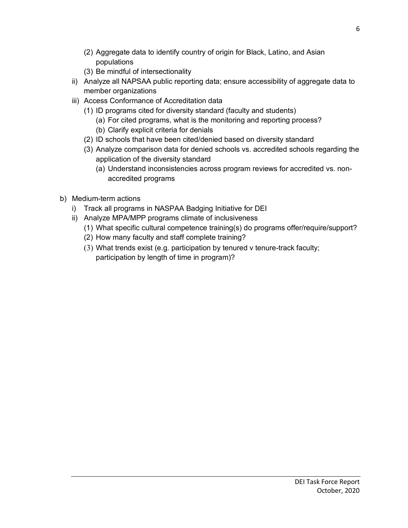- (2) Aggregate data to identify country of origin for Black, Latino, and Asian populations
- (3) Be mindful of intersectionality
- ii) Analyze all NAPSAA public reporting data; ensure accessibility of aggregate data to member organizations
- iii) Access Conformance of Accreditation data
	- (1) ID programs cited for diversity standard (faculty and students)
		- (a) For cited programs, what is the monitoring and reporting process?
		- (b) Clarify explicit criteria for denials
	- (2) ID schools that have been cited/denied based on diversity standard
	- (3) Analyze comparison data for denied schools vs. accredited schools regarding the application of the diversity standard
		- (a) Understand inconsistencies across program reviews for accredited vs. nonaccredited programs
- b) Medium-term actions
	- i) Track all programs in NASPAA Badging Initiative for DEI
	- ii) Analyze MPA/MPP programs climate of inclusiveness
		- (1) What specific cultural competence training(s) do programs offer/require/support?
		- (2) How many faculty and staff complete training?
		- (3) What trends exist (e.g. participation by tenured v tenure-track faculty; participation by length of time in program)?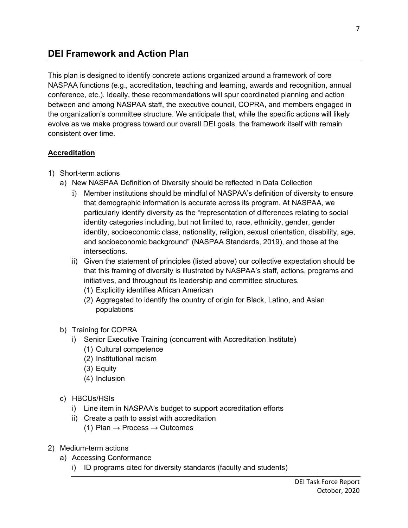# **DEI Framework and Action Plan**

This plan is designed to identify concrete actions organized around a framework of core NASPAA functions (e.g., accreditation, teaching and learning, awards and recognition, annual conference, etc.). Ideally, these recommendations will spur coordinated planning and action between and among NASPAA staff, the executive council, COPRA, and members engaged in the organization's committee structure. We anticipate that, while the specific actions will likely evolve as we make progress toward our overall DEI goals, the framework itself with remain consistent over time.

#### **Accreditation**

- 1) Short-term actions
	- a) New NASPAA Definition of Diversity should be reflected in Data Collection
		- i) Member institutions should be mindful of NASPAA's definition of diversity to ensure that demographic information is accurate across its program. At NASPAA, we particularly identify diversity as the "representation of differences relating to social identity categories including, but not limited to, race, ethnicity, gender, gender identity, socioeconomic class, nationality, religion, sexual orientation, disability, age, and socioeconomic background" (NASPAA Standards, 2019), and those at the intersections.
		- ii) Given the statement of principles (listed above) our collective expectation should be that this framing of diversity is illustrated by NASPAA's staff, actions, programs and initiatives, and throughout its leadership and committee structures.
			- (1) Explicitly identifies African American
			- (2) Aggregated to identify the country of origin for Black, Latino, and Asian populations
	- b) Training for COPRA
		- i) Senior Executive Training (concurrent with Accreditation Institute)
			- (1) Cultural competence
				- (2) Institutional racism
			- (3) Equity
			- (4) Inclusion
	- c) HBCUs/HSIs
		- i) Line item in NASPAA's budget to support accreditation efforts
		- ii) Create a path to assist with accreditation
			- (1) Plan  $\rightarrow$  Process  $\rightarrow$  Outcomes
- 2) Medium-term actions
	- a) Accessing Conformance
		- i) ID programs cited for diversity standards (faculty and students)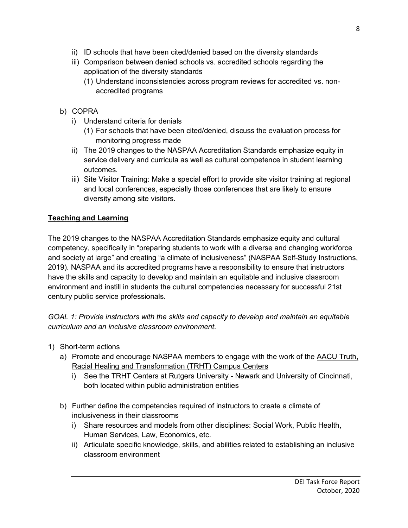- ii) ID schools that have been cited/denied based on the diversity standards
- iii) Comparison between denied schools vs. accredited schools regarding the application of the diversity standards
	- (1) Understand inconsistencies across program reviews for accredited vs. nonaccredited programs
- b) COPRA
	- i) Understand criteria for denials
		- (1) For schools that have been cited/denied, discuss the evaluation process for monitoring progress made
	- ii) The 2019 changes to the NASPAA Accreditation Standards emphasize equity in service delivery and curricula as well as cultural competence in student learning outcomes.
	- iii) Site Visitor Training: Make a special effort to provide site visitor training at regional and local conferences, especially those conferences that are likely to ensure diversity among site visitors.

# **Teaching and Learning**

The 2019 changes to the NASPAA Accreditation Standards emphasize equity and cultural competency, specifically in "preparing students to work with a diverse and changing workforce and society at large" and creating "a climate of inclusiveness" (NASPAA Self-Study Instructions, 2019). NASPAA and its accredited programs have a responsibility to ensure that instructors have the skills and capacity to develop and maintain an equitable and inclusive classroom environment and instill in students the cultural competencies necessary for successful 21st century public service professionals.

*GOAL 1: Provide instructors with the skills and capacity to develop and maintain an equitable curriculum and an inclusive classroom environment.*

- 1) Short-term actions
	- a) Promote and encourage NASPAA members to engage with the work of the AACU Truth, Racial Healing and Transformation (TRHT) Campus Centers
		- i) See the TRHT Centers at Rutgers University Newark and University of Cincinnati, both located within public administration entities
	- b) Further define the competencies required of instructors to create a climate of inclusiveness in their classrooms
		- i) Share resources and models from other disciplines: Social Work, Public Health, Human Services, Law, Economics, etc.
		- ii) Articulate specific knowledge, skills, and abilities related to establishing an inclusive classroom environment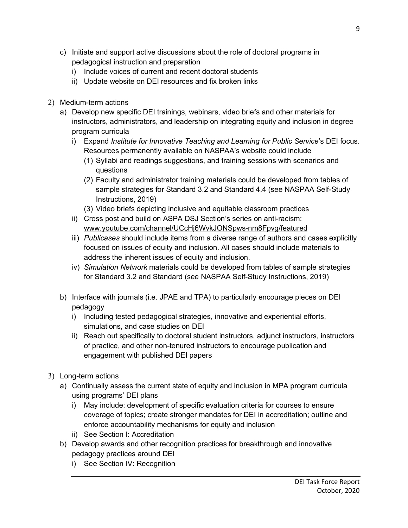- c) Initiate and support active discussions about the role of doctoral programs in pedagogical instruction and preparation
	- i) Include voices of current and recent doctoral students
	- ii) Update website on DEI resources and fix broken links
- 2) Medium-term actions
	- a) Develop new specific DEI trainings, webinars, video briefs and other materials for instructors, administrators, and leadership on integrating equity and inclusion in degree program curricula
		- i) Expand *Institute for Innovative Teaching and Learning for Public Service*'s DEI focus. Resources permanently available on NASPAA's website could include
			- (1) Syllabi and readings suggestions, and training sessions with scenarios and questions
			- (2) Faculty and administrator training materials could be developed from tables of sample strategies for Standard 3.2 and Standard 4.4 (see NASPAA Self-Study Instructions, 2019)
			- (3) Video briefs depicting inclusive and equitable classroom practices
		- ii) Cross post and build on ASPA DSJ Section's series on anti-racism: www.youtube.com/channel/UCcHj6WvkJONSpws-nm8Fpvg/featured
		- iii) *Publicases* should include items from a diverse range of authors and cases explicitly focused on issues of equity and inclusion. All cases should include materials to address the inherent issues of equity and inclusion.
		- iv) *Simulation Network* materials could be developed from tables of sample strategies for Standard 3.2 and Standard (see NASPAA Self-Study Instructions, 2019)
	- b) Interface with journals (i.e. JPAE and TPA) to particularly encourage pieces on DEI pedagogy
		- i) Including tested pedagogical strategies, innovative and experiential efforts, simulations, and case studies on DEI
		- ii) Reach out specifically to doctoral student instructors, adjunct instructors, instructors of practice, and other non-tenured instructors to encourage publication and engagement with published DEI papers
- 3) Long-term actions
	- a) Continually assess the current state of equity and inclusion in MPA program curricula using programs' DEI plans
		- i) May include: development of specific evaluation criteria for courses to ensure coverage of topics; create stronger mandates for DEI in accreditation; outline and enforce accountability mechanisms for equity and inclusion
		- ii) See Section I: Accreditation
	- b) Develop awards and other recognition practices for breakthrough and innovative pedagogy practices around DEI
		- i) See Section IV: Recognition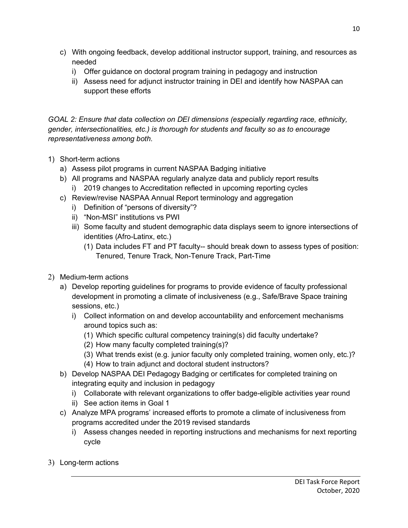- c) With ongoing feedback, develop additional instructor support, training, and resources as needed
	- i) Offer guidance on doctoral program training in pedagogy and instruction
	- ii) Assess need for adjunct instructor training in DEI and identify how NASPAA can support these efforts

*GOAL 2: Ensure that data collection on DEI dimensions (especially regarding race, ethnicity, gender, intersectionalities, etc.) is thorough for students and faculty so as to encourage representativeness among both.*

- 1) Short-term actions
	- a) Assess pilot programs in current NASPAA Badging initiative
	- b) All programs and NASPAA regularly analyze data and publicly report results
		- i) 2019 changes to Accreditation reflected in upcoming reporting cycles
	- c) Review/revise NASPAA Annual Report terminology and aggregation
		- i) Definition of "persons of diversity"?
		- ii) "Non-MSI" institutions vs PWI
		- iii) Some faculty and student demographic data displays seem to ignore intersections of identities (Afro-Latinx, etc.)
			- (1) Data includes FT and PT faculty-- should break down to assess types of position: Tenured, Tenure Track, Non-Tenure Track, Part-Time
- 2) Medium-term actions
	- a) Develop reporting guidelines for programs to provide evidence of faculty professional development in promoting a climate of inclusiveness (e.g., Safe/Brave Space training sessions, etc.)
		- i) Collect information on and develop accountability and enforcement mechanisms around topics such as:
			- (1) Which specific cultural competency training(s) did faculty undertake?
			- (2) How many faculty completed training(s)?
			- (3) What trends exist (e.g. junior faculty only completed training, women only, etc.)?
			- (4) How to train adjunct and doctoral student instructors?
	- b) Develop NASPAA DEI Pedagogy Badging or certificates for completed training on integrating equity and inclusion in pedagogy
		- i) Collaborate with relevant organizations to offer badge-eligible activities year round
		- ii) See action items in Goal 1
	- c) Analyze MPA programs' increased efforts to promote a climate of inclusiveness from programs accredited under the 2019 revised standards
		- i) Assess changes needed in reporting instructions and mechanisms for next reporting cycle
- 3) Long-term actions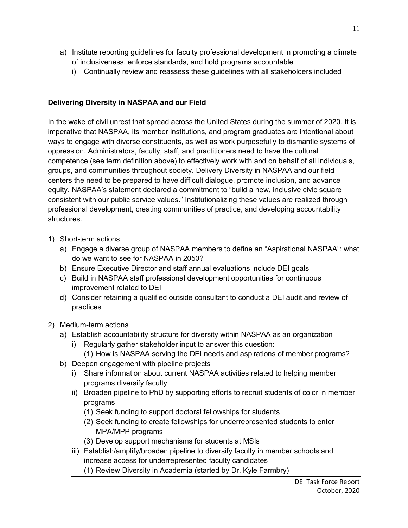- a) Institute reporting guidelines for faculty professional development in promoting a climate of inclusiveness, enforce standards, and hold programs accountable
	- i) Continually review and reassess these guidelines with all stakeholders included

#### **Delivering Diversity in NASPAA and our Field**

In the wake of civil unrest that spread across the United States during the summer of 2020. It is imperative that NASPAA, its member institutions, and program graduates are intentional about ways to engage with diverse constituents, as well as work purposefully to dismantle systems of oppression. Administrators, faculty, staff, and practitioners need to have the cultural competence (see term definition above) to effectively work with and on behalf of all individuals, groups, and communities throughout society. Delivery Diversity in NASPAA and our field centers the need to be prepared to have difficult dialogue, promote inclusion, and advance equity. NASPAA's statement declared a commitment to "build a new, inclusive civic square consistent with our public service values." Institutionalizing these values are realized through professional development, creating communities of practice, and developing accountability structures.

- 1) Short-term actions
	- a) Engage a diverse group of NASPAA members to define an "Aspirational NASPAA": what do we want to see for NASPAA in 2050?
	- b) Ensure Executive Director and staff annual evaluations include DEI goals
	- c) Build in NASPAA staff professional development opportunities for continuous improvement related to DEI
	- d) Consider retaining a qualified outside consultant to conduct a DEI audit and review of practices
- 2) Medium-term actions
	- a) Establish accountability structure for diversity within NASPAA as an organization
		- i) Regularly gather stakeholder input to answer this question:
			- (1) How is NASPAA serving the DEI needs and aspirations of member programs?
	- b) Deepen engagement with pipeline projects
		- i) Share information about current NASPAA activities related to helping member programs diversify faculty
		- ii) Broaden pipeline to PhD by supporting efforts to recruit students of color in member programs
			- (1) Seek funding to support doctoral fellowships for students
			- (2) Seek funding to create fellowships for underrepresented students to enter MPA/MPP programs
			- (3) Develop support mechanisms for students at MSIs
		- iii) Establish/amplify/broaden pipeline to diversify faculty in member schools and increase access for underrepresented faculty candidates
			- (1) Review Diversity in Academia (started by Dr. Kyle Farmbry)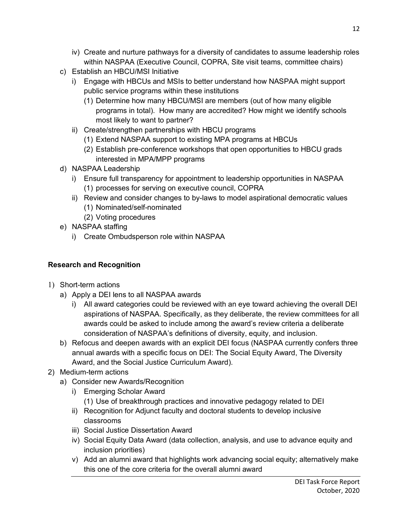- iv) Create and nurture pathways for a diversity of candidates to assume leadership roles within NASPAA (Executive Council, COPRA, Site visit teams, committee chairs)
- c) Establish an HBCU/MSI Initiative
	- i) Engage with HBCUs and MSIs to better understand how NASPAA might support public service programs within these institutions
		- (1) Determine how many HBCU/MSI are members (out of how many eligible programs in total). How many are accredited? How might we identify schools most likely to want to partner?
	- ii) Create/strengthen partnerships with HBCU programs
		- (1) Extend NASPAA support to existing MPA programs at HBCUs
		- (2) Establish pre-conference workshops that open opportunities to HBCU grads interested in MPA/MPP programs
- d) NASPAA Leadership
	- i) Ensure full transparency for appointment to leadership opportunities in NASPAA (1) processes for serving on executive council, COPRA
	- ii) Review and consider changes to by-laws to model aspirational democratic values (1) Nominated/self-nominated
		- (2) Voting procedures
- e) NASPAA staffing
	- i) Create Ombudsperson role within NASPAA

### **Research and Recognition**

- 1) Short-term actions
	- a) Apply a DEI lens to all NASPAA awards
		- i) All award categories could be reviewed with an eye toward achieving the overall DEI aspirations of NASPAA. Specifically, as they deliberate, the review committees for all awards could be asked to include among the award's review criteria a deliberate consideration of NASPAA's definitions of diversity, equity, and inclusion.
	- b) Refocus and deepen awards with an explicit DEI focus (NASPAA currently confers three annual awards with a specific focus on DEI: The Social Equity Award, The Diversity Award, and the Social Justice Curriculum Award).
- 2) Medium-term actions
	- a) Consider new Awards/Recognition
		- i) Emerging Scholar Award (1) Use of breakthrough practices and innovative pedagogy related to DEI
		- ii) Recognition for Adjunct faculty and doctoral students to develop inclusive classrooms
		- iii) Social Justice Dissertation Award
		- iv) Social Equity Data Award (data collection, analysis, and use to advance equity and inclusion priorities)
		- v) Add an alumni award that highlights work advancing social equity; alternatively make this one of the core criteria for the overall alumni award